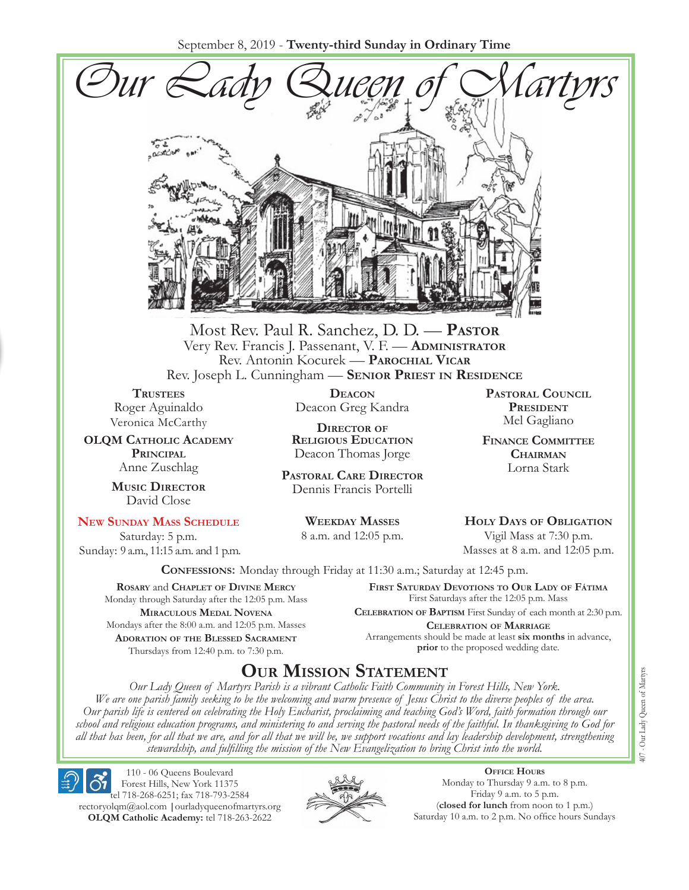September 8, 2019 - **Twenty-third Sunday in Ordinary Time**



Most Rev. Paul R. Sanchez, D. D. — **Pastor** Very Rev. Francis J. Passenant, V. F. — **Administrator** Rev. Antonin Kocurek — **Parochial Vicar** Rev. Joseph L. Cunningham — **Senior Priest in Residence**

**TRUSTEES** Roger Aguinaldo Veronica McCarthy

**OLQM Catholic Academy Principal** Anne Zuschlag

> **Music Director** David Close

#### **New Sunday Mass Schedule**

Saturday: 5 p.m. Sunday: 9 a.m., 11:15 a.m. and 1 p.m.

**Deacon** Deacon Greg Kandra

**Director of Religious Education** Deacon Thomas Jorge

**Pastoral Care Director** Dennis Francis Portelli

> **Weekday Masses** 8 a.m. and 12:05 p.m.

**Pastoral Council President** Mel Gagliano

**Finance Committee Chairman** Lorna Stark

**Holy Days of Obligation** Vigil Mass at 7:30 p.m.

Masses at 8 a.m. and 12:05 p.m.

**Confessions:** Monday through Friday at 11:30 a.m.; Saturday at 12:45 p.m.

**Rosary** and **Chaplet of Divine Mercy** Monday through Saturday after the 12:05 p.m. Mass **Miraculous Medal Novena** Mondays after the 8:00 a.m. and 12:05 p.m. Masses **Adoration of the Blessed Sacrament** Thursdays from 12:40 p.m. to 7:30 p.m.

**First Saturday Devotions to Our Lady of Fátima** First Saturdays after the 12:05 p.m. Mass

**Celebration of Baptism** First Sunday of each month at 2:30 p.m. **Celebration of Marriage** Arrangements should be made at least **six months** in advance, **prior** to the proposed wedding date.

## **Our Mission Statement**

*Our Lady Queen of Martyrs Parish is a vibrant Catholic Faith Community in Forest Hills, New York. We are one parish family seeking to be the welcoming and warm presence of Jesus Christ to the diverse peoples of the area. Our parish life is centered on celebrating the Holy Eucharist, proclaiming and teaching God's Word, faith formation through our school and religious education programs, and ministering to and serving the pastoral needs of the faithful. In thanksgiving to God for all that has been, for all that we are, and for all that we will be, we support vocations and lay leadership development, strengthening stewardship, and fulfilling the mission of the New Evangelization to bring Christ into the world.*

110 - 06 Queens Boulevard Forest Hills, New York 11375 tel 718-268-6251; fax 718-793-2584 [rectoryolqm@aol.com](mailto:rectoryolqm@aol.com) **|**[ourladyqueenofmartyrs.org](www.ourladyqueenofmartyrs.org) **OLQM Catholic Academy:** tel 718-263-2622



**Office Hours** Monday to Thursday 9 a.m. to 8 p.m. Friday 9 a.m. to 5 p.m. (**closed for lunch** from noon to 1 p.m.) Saturday 10 a.m. to 2 p.m. No office hours Sundays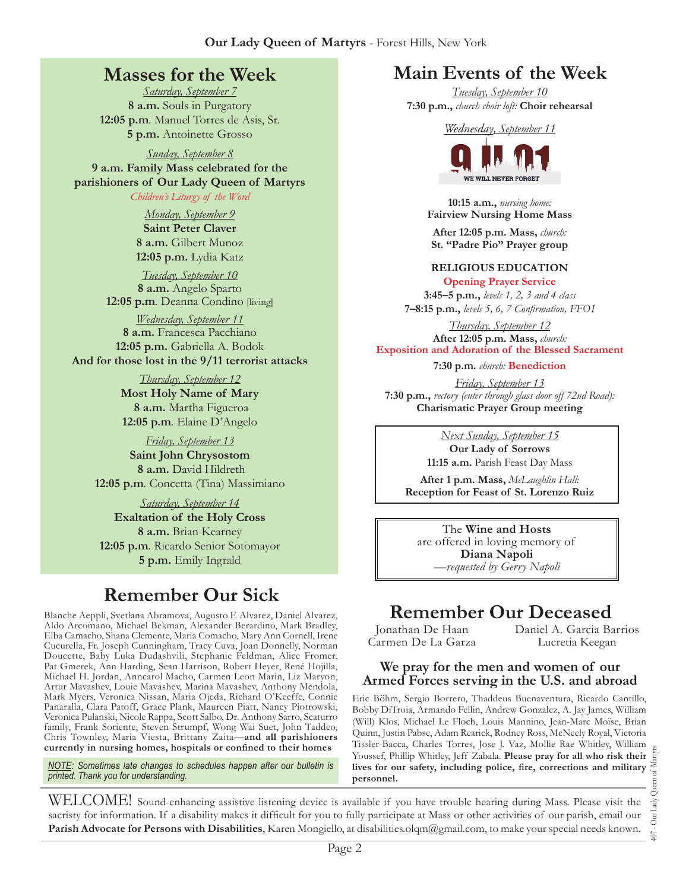## **Masses for the Week**

*Saturday, September 7* **8 a.m.** Souls in Purgatory **12:05 p.m***.* Manuel Torres de Asis, Sr. **5 p.m.** Antoinette Grosso

*Sunday, September 8*

**9 a.m. Family Mass celebrated for the parishioners of Our Lady Queen of Martyrs** *Children's Liturgy of the Word* 

*Monday, September 9*

**Saint Peter Claver 8 a.m.** Gilbert Munoz **12:05 p.m.** Lydia Katz

*Tuesday, September 10* **8 a.m.** Angelo Sparto **12:05 p.m***.* Deanna Condino [living]

*Wednesday, September 11* **8 a.m.** Francesca Pacchiano **12:05 p.m.** Gabriella A. Bodok **And for those lost in the 9/11 terrorist attacks**

> *Thursday, September 12* **Most Holy Name of Mary 8 a.m.** Martha Figueroa **12:05 p.m***.* Elaine D'Angelo

*Friday, September 13* **Saint John Chrysostom 8 a.m.** David Hildreth **12:05 p.m***.* Concetta (Tina) Massimiano

*Saturday, September 14* **Exaltation of the Holy Cross 8 a.m.** Brian Kearney **12:05 p.m***.* Ricardo Senior Sotomayor **5 p.m.** Emily Ingrald

# **Remember Our Sick**

Aldo Arcomano, Michael Bekman, Alexander Berardino, Mark Bradley, Elba Camacho, Shana Clemente, Maria Comacho, Mary Ann Cornell, Irene Cucurella, Fr. Joseph Cunningham, Tracy Cuva, Joan Donnelly, Norman Doucette, Baby Luka Dudashvili, Stephanie Feldman, Alice Fromer, Pat Gmerek, Ann Harding, Sean Harrison, Robert Heyer, René Hojilla, Michael H. Jordan, Anncarol Macho, Carmen Leon Marin, Liz Maryon, Artur Mavashev, Louie Mavashev, Marina Mavashev, Anthony Mendola, Mark Myers, Veronica Nissan, Maria Ojeda, Richard O'Keeffe, Connie Panaralla, Clara Patoff, Grace Plank, Maureen Piatt, Nancy Piotrowski, Veronica Pulanski, Nicole Rappa, Scott Salbo, Dr. Anthony Sarro, Scaturro family, Frank Soriente, Steven Strumpf, Wong Wai Suet, John Taddeo, Chris Townley, Maria Viesta, Brittany Zaita—**and all parishioners currently in nursing homes, hospitals or confined to their homes**

*NOTE: Sometimes late changes to schedules happen after our bulletin is printed. Thank you for understanding.*

## **Main Events of the Week**

*Tuesday, September 10* **7:30 p.m.,** *church choir loft:* **Choir rehearsal**

*Wednesday, September 11*



**10:15 a.m.,** *nursing home:*  **Fairview Nursing Home Mass**

**After 12:05 p.m. Mass,** *church:* **St. "Padre Pio" Prayer group**

#### **Religious Education Opening Prayer Service**

**3:45–5 p.m.,** *levels 1, 2, 3 and 4 class* **7–8:15 p.m.,** *levels 5, 6, 7 Confirmation, FFO  I*

*Thursday, September 12* **After 12:05 p.m. Mass,** *church:*  **Exposition and Adoration of the Blessed Sacrament**

**7:30 p.m.** *church:* **Benediction** 

*Friday, September 13* **7:30 p.m.,** *rectory (enter through glass door off 72nd Road):* **Charismatic Prayer Group meeting**

*Next Sunday, September 15*

**Our Lady of Sorrows 11:15 a.m.** Parish Feast Day Mass

**After 1 p.m. Mass,** *McLaughlin Hall:* **Reception for Feast of St. Lorenzo Ruiz**

The **Wine and Hosts** are offered in loving memory of **Diana Napoli** *—requested by Gerry Napoli* 

# Blanche Aeppli, Svetlana Abramova, Augusto F. Alvarez, Daniel Alvarez, **Remember Our Deceased**

Jonathan De Haan Carmen De La Garza Daniel A. Garcia Barrios Lucretia Keegan

#### **We pray for the men and women of our Armed Forces serving in the U.S. and abroad**

Eric Böhm, Sergio Borrero, Thaddeus Buenaventura, Ricardo Cantillo, Bobby DiTroia, Armando Fellin, Andrew Gonzalez, A. Jay James, William (Will) Klos, Michael Le Floch, Louis Mannino, Jean-Marc Moïse, Brian Quinn, Justin Pabse, Adam Rearick, Rodney Ross, McNeely Royal, Victoria Tissler-Bacca, Charles Torres, Jose J. Vaz, Mollie Rae Whitley, William Youssef, Phillip Whitley, Jeff Zabala. **Please pray for all who risk their lives for our safety, including police, fire, corrections and military personnel.**

WELCOME! Sound-enhancing assistive listening device is available if you have trouble hearing during Mass. Please visit the sacristy for information. If a disability makes it difficult for you to fully participate at Mass or other activities of our parish, email our **Parish Advocate for Persons with Disabilities**, Karen Mongiello, at [disabilities.olqm@gmail.com,](mailto:disabilities.olqm@gmail.com) to make your special needs known.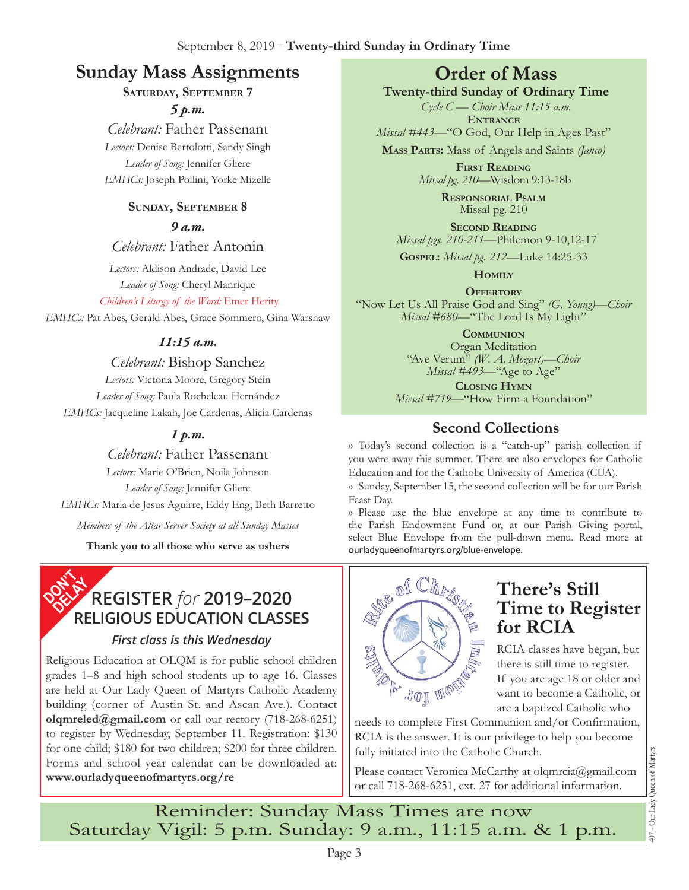# **Sunday Mass Assignments Order of Mass**

### **Saturday, September 7**

*5 p.m.* 

*Celebrant:* Father Passenant *Lectors:* Denise Bertolotti, Sandy Singh *Leader of Song:* Jennifer Gliere *EMHCs:* Joseph Pollini, Yorke Mizelle

### **Sunday, September 8**

*9 a.m.* 

*Celebrant:* Father Antonin

*Lectors:* Aldison Andrade, David Lee *Leader of Song:* Cheryl Manrique

*Children's Liturgy of the Word:* Emer Herity *EMHCs:* Pat Abes, Gerald Abes, Grace Sommero, Gina Warshaw

### *11:15 a.m.*

*Celebrant:* Bishop Sanchez *Lectors:* Victoria Moore, Gregory Stein *Leader of Song:* Paula Rocheleau Hernández *EMHCs:* Jacqueline Lakah, Joe Cardenas, Alicia Cardenas

## *1 p.m.*

*Celebrant:* Father Passenant *Lectors:* Marie O'Brien, Noila Johnson *Leader of Song:* Jennifer Gliere *EMHCs:* Maria de Jesus Aguirre, Eddy Eng, Beth Barretto *Members of the Altar Server Society at all Sunday Masses*

**Thank you to all those who serve as ushers**



### *First class is this Wednesday*

Religious Education at OLQM is for public school children grades 1–8 and high school students up to age 16. Classes are held at Our Lady Queen of Martyrs Catholic Academy building (corner of Austin St. and Ascan Ave.). Contact **olqmreled@gmail.com** or call our rectory (718-268-6251) to register by Wednesday, September 11. Registration: \$130 for one child; \$180 for two children; \$200 for three children. Forms and school year calendar can be downloaded at: **www.ourladyqueenofmartyrs.org/re**

**Twenty-third Sunday of Ordinary Time**

*Cycle C — Choir Mass 11:15 a.m.* **Entrance**

*Missal #443—*"O God, Our Help in Ages Past"

**Mass Parts:** Mass of Angels and Saints *(Janco)*

**First Reading** *Missal pg. 210—*Wisdom 9:13-18b

> **Responsorial Psalm** Missal pg. 210

**Second Reading** *Missal pgs. 210-211—*Philemon 9-10,12-17

**Gospel:** *Missal pg. 212—*Luke 14:25-33

**Homily**

**Offertory** "Now Let Us All Praise God and Sing" *(G. Young)—Choir Missal #680—*"The Lord Is My Light"

**Communion**

Organ Meditation "Ave Verum" *(W. A. Mozart)—Choir Missal #493—*"Age to Age"

**Closing Hymn** *Missal #719*—"How Firm a Foundation"

## **Second Collections**

›› Today's second collection is a "catch-up" parish collection if you were away this summer. There are also envelopes for Catholic Education and for the Catholic University of America (CUA).

›› Sunday, September 15, the second collection will be for our Parish Feast Day.

›› Please use the blue envelope at any time to contribute to the Parish Endowment Fund or, at our Parish Giving portal, select Blue Envelope from the pull-down menu. Read more at ourladyqueenofmartyrs.org/blue-envelope.



# **There's Still Time to Register for RCIA**

RCIA classes have begun, but there is still time to register. If you are age 18 or older and want to become a Catholic, or are a baptized Catholic who

needs to complete First Communion and/or Confirmation, RCIA is the answer. It is our privilege to help you become fully initiated into the Catholic Church.

Please contact Veronica McCarthy at olqmrcia@gmail.com or call 718-268-6251, ext. 27 for additional information.

Reminder: Sunday Mass Times are now Saturday Vigil: 5 p.m. Sunday: 9 a.m., 11:15 a.m. & 1 p.m.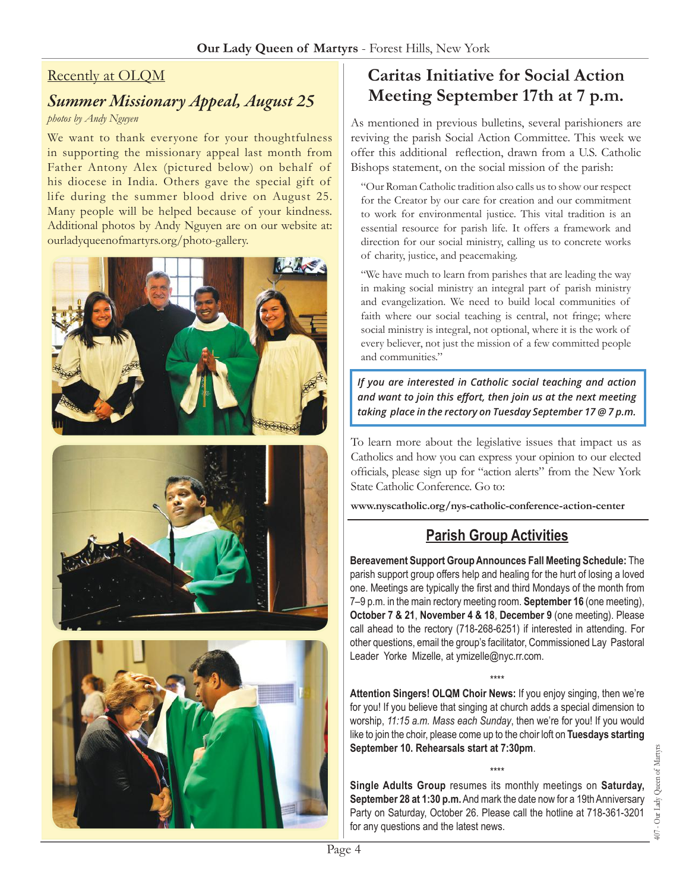### Recently at OLQM

## *Summer Missionary Appeal, August 25*

#### *photos by Andy Nguyen*

We want to thank everyone for your thoughtfulness in supporting the missionary appeal last month from Father Antony Alex (pictured below) on behalf of his diocese in India. Others gave the special gift of life during the summer blood drive on August 25. Many people will be helped because of your kindness. Additional photos by Andy Nguyen are on our website at: ourladyqueenofmartyrs.org/photo-gallery.







# **Caritas Initiative for Social Action Meeting September 17th at 7 p.m.**

As mentioned in previous bulletins, several parishioners are reviving the parish Social Action Committee. This week we offer this additional reflection, drawn from a U.S. Catholic Bishops statement, on the social mission of the parish:

"Our Roman Catholic tradition also calls us to show our respect for the Creator by our care for creation and our commitment to work for environmental justice. This vital tradition is an essential resource for parish life. It offers a framework and direction for our social ministry, calling us to concrete works of charity, justice, and peacemaking.

"We have much to learn from parishes that are leading the way in making social ministry an integral part of parish ministry and evangelization. We need to build local communities of faith where our social teaching is central, not fringe; where social ministry is integral, not optional, where it is the work of every believer, not just the mission of a few committed people and communities."

*If you are interested in Catholic social teaching and action and want to join this effort, then join us at the next meeting taking place in the rectory on Tuesday September 17 @ 7 p.m.*

To learn more about the legislative issues that impact us as Catholics and how you can express your opinion to our elected officials, please sign up for "action alerts" from the New York State Catholic Conference. Go to:

**[www.nyscatholic.org/nys-catholic-conference-action-center](https://www.nyscatholic.org/nys-catholic-conference-action-center/)**

## **Parish Group Activities**

**Bereavement Support Group Announces Fall Meeting Schedule:** The parish support group offers help and healing for the hurt of losing a loved one. Meetings are typically the first and third Mondays of the month from 7–9 p.m. in the main rectory meeting room. **September 16** (one meeting), **October 7 & 21**, **November 4 & 18**, **December 9** (one meeting). Please call ahead to the rectory (718-268-6251) if interested in attending. For other questions, email the group's facilitator, Commissioned Lay Pastoral Leader Yorke Mizelle, at [ymizelle@nyc.rr.com](mailto:ymizelle@nyc.rr.com).

\*\*\*\* **Attention Singers! OLQM Choir News:** If you enjoy singing, then we're for you! If you believe that singing at church adds a special dimension to worship, *11:15 a.m. Mass each Sunday*, then we're for you! If you would like to join the choir, please come up to the choir loft on **Tuesdays starting September 10. Rehearsals start at 7:30pm**.

\*\*\*\*

**Single Adults Group** resumes its monthly meetings on **Saturday, September 28 at 1:30 p.m.** And mark the date now for a 19th Anniversary Party on Saturday, October 26. Please call the hotline at 718-361-3201 for any questions and the latest news.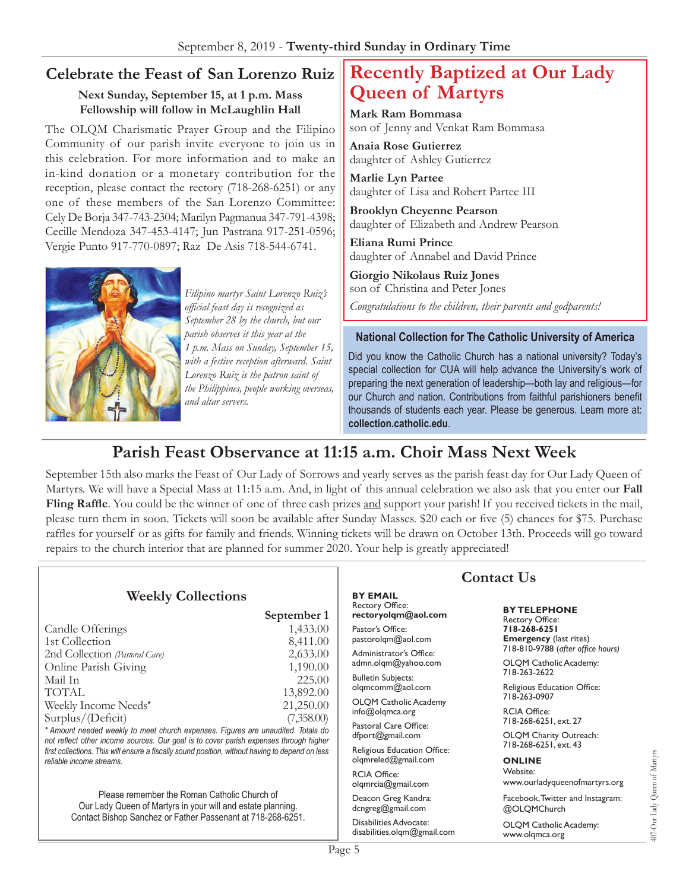## **Celebrate the Feast of San Lorenzo Ruiz**

#### **Next Sunday, September 15, at 1 p.m. Mass Fellowship will follow in McLaughlin Hall**

The OLQM Charismatic Prayer Group and the Filipino Community of our parish invite everyone to join us in this celebration. For more information and to make an in-kind donation or a monetary contribution for the reception, please contact the rectory (718-268-6251) or any one of these members of the San Lorenzo Committee: Cely De Borja 347-743-2304; Marilyn Pagmanua 347-791-4398; Cecille Mendoza 347-453-4147; Jun Pastrana 917-251-0596; Vergie Punto 917-770-0897; Raz De Asis 718-544-6741.



*Filipino martyr Saint Lorenzo Ruiz's official feast day is recognized as September 28 by the church, but our parish observes it this year at the 1 p.m. Mass on Sunday, September 15, with a festive reception afterward. Saint Lorenzo Ruiz is the patron saint of the Philippines, people working overseas, and altar servers.*

# **Recently Baptized at Our Lady Queen of Martyrs**

**Mark Ram Bommasa** son of Jenny and Venkat Ram Bommasa

**Anaia Rose Gutierrez** daughter of Ashley Gutierrez

**Marlie Lyn Partee** daughter of Lisa and Robert Partee III

**Brooklyn Cheyenne Pearson** daughter of Elizabeth and Andrew Pearson

**Eliana Rumi Prince** daughter of Annabel and David Prince

**Giorgio Nikolaus Ruiz Jones** son of Christina and Peter Jones

*Congratulations to the children, their parents and godparents!*

#### **National Collection for The Catholic University of America**

Did you know the Catholic Church has a national university? Today's special collection for CUA will help advance the University's work of preparing the next generation of leadership—both lay and religious—for our Church and nation. Contributions from faithful parishioners benefit thousands of students each year. Please be generous. Learn more at: **<collection.catholic.edu>**.

## **Parish Feast Observance at 11:15 a.m. Choir Mass Next Week**

September 15th also marks the Feast of Our Lady of Sorrows and yearly serves as the parish feast day for Our Lady Queen of Martyrs. We will have a Special Mass at 11:15 a.m. And, in light of this annual celebration we also ask that you enter our **Fall Fling Raffle**. You could be the winner of one of three cash prizes and support your parish! If you received tickets in the mail, please turn them in soon. Tickets will soon be available after Sunday Masses. \$20 each or five (5) chances for \$75. Purchase raffles for yourself or as gifts for family and friends. Winning tickets will be drawn on October 13th. Proceeds will go toward repairs to the church interior that are planned for summer 2020. Your help is greatly appreciated!

|                                                                                                                                                                                                                                                                                                                                             |                                                                                               | <b>Contact Us</b>                                                 |                                                                                    |
|---------------------------------------------------------------------------------------------------------------------------------------------------------------------------------------------------------------------------------------------------------------------------------------------------------------------------------------------|-----------------------------------------------------------------------------------------------|-------------------------------------------------------------------|------------------------------------------------------------------------------------|
| <b>Weekly Collections</b>                                                                                                                                                                                                                                                                                                                   | September 1                                                                                   | <b>BY EMAIL</b><br><b>Rectory Office:</b><br>rectoryolqm@aol.com  | <b>BY TELEPHONE</b><br>Rectory Office:                                             |
| Candle Offerings<br>1st Collection<br>2nd Collection (Pastoral Care)                                                                                                                                                                                                                                                                        | 1,433.00<br>8,411.00<br>2,633.00                                                              | Pastor's Office:<br>pastorolqm@aol.com<br>Administrator's Office: | 718-268-6251<br><b>Emergency</b> (last rites)<br>718-810-9788 (after office hours) |
| Online Parish Giving<br>Mail In                                                                                                                                                                                                                                                                                                             | 1,190.00<br><b>Bulletin Subjects:</b><br>225.00<br>olgmcomm@aol.com<br>13,892.00<br>21,250.00 | admn.olgm@yahoo.com                                               | OLQM Catholic Academy:<br>718-263-2622                                             |
| TOTAL<br>Weekly Income Needs*                                                                                                                                                                                                                                                                                                               |                                                                                               | <b>OLQM Catholic Academy</b><br>$info@$ olqmca.org                | Religious Education Office:<br>718-263-0907<br><b>RCIA Office:</b>                 |
| Surplus/(Deficit)<br>(7,358.00)<br>* Amount needed weekly to meet church expenses. Figures are unaudited. Totals do<br>not reflect other income sources. Our goal is to cover parish expenses through higher<br>first collections. This will ensure a fiscally sound position, without having to depend on less<br>reliable income streams. |                                                                                               | Pastoral Care Office:<br>dfport@gmail.com                         | 718-268-6251, ext. 27<br>OLQM Charity Outreach:                                    |
|                                                                                                                                                                                                                                                                                                                                             |                                                                                               | Religious Education Office:<br>olgmreled@gmail.com                | 718-268-6251, ext. 43<br><b>ONLINE</b><br>Website:                                 |
| Please remember the Roman Catholic Church of<br>Our Lady Queen of Martyrs in your will and estate planning.<br>Contact Bishop Sanchez or Father Passenant at 718-268-6251.                                                                                                                                                                  |                                                                                               | <b>RCIA Office:</b><br>olqmrcia@gmail.com                         | 407-Our Lady Queen of Martyrs<br>www.ourladyqueenofmartyrs.org                     |
|                                                                                                                                                                                                                                                                                                                                             |                                                                                               | Deacon Greg Kandra:<br>dcngreg@gmail.com                          | Facebook, Twitter and Instagram:<br>@OLQMChurch                                    |
|                                                                                                                                                                                                                                                                                                                                             |                                                                                               | Disabilities Advocate:<br>disabilities.olgm@gmail.com             | <b>OLOM Catholic Academy:</b><br>www.olgmca.org                                    |